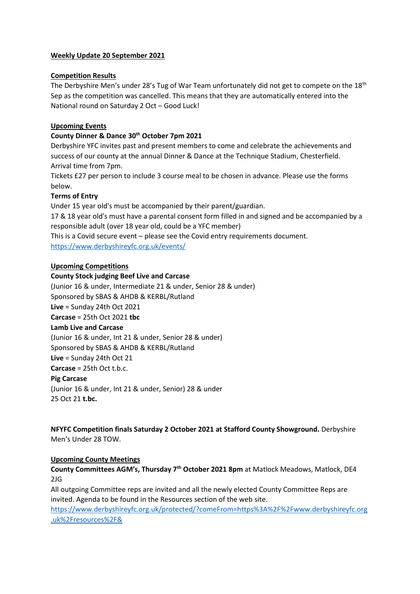# **Weekly Update 20 September 2021**

# **Competition Results**

The Derbyshire Men's under 28's Tug of War Team unfortunately did not get to compete on the 18<sup>th</sup> Sep as the competition was cancelled. This means that they are automatically entered into the National round on Saturday 2 Oct – Good Luck!

# **Upcoming Events**

# **County Dinner & Dance 30th October 7pm 2021**

Derbyshire YFC invites past and present members to come and celebrate the achievements and success of our county at the annual Dinner & Dance at the Technique Stadium, Chesterfield. Arrival time from 7pm.

Tickets £27 per person to include 3 course meal to be chosen in advance. Please use the forms below.

# **Terms of Entry**

Under 15 year old's must be accompanied by their parent/guardian.

17 & 18 year old's must have a parental consent form filled in and signed and be accompanied by a responsible adult (over 18 year old, could be a YFC member)

This is a Covid secure event – please see the Covid entry requirements document. <https://www.derbyshireyfc.org.uk/events/>

#### **Upcoming Competitions**

#### **County Stock judging Beef Live and Carcase**

(Junior 16 & under, Intermediate 21 & under, Senior 28 & under) Sponsored by SBAS & AHDB & KERBL/Rutland **Live** = Sunday 24th Oct 2021 **Carcase** = 25th Oct 2021 **tbc Lamb Live and Carcase** (Junior 16 & under, Int 21 & under, Senior 28 & under) Sponsored by SBAS & AHDB & KERBL/Rutland **Live** = Sunday 24th Oct 21 **Carcase** = 25th Oct t.b.c. **Pig Carcase** (Junior 16 & under, Int 21 & under, Senior) 28 & under 25 Oct 21 **t.bc.**

**NFYFC Competition finals Saturday 2 October 2021 at Stafford County Showground.** Derbyshire Men's Under 28 TOW.

#### **Upcoming County Meetings**

**County Committees AGM's, Thursday 7th October 2021 8pm** at Matlock Meadows, Matlock, DE4 2JG

All outgoing Committee reps are invited and all the newly elected County Committee Reps are invited. Agenda to be found in the Resources section of the web site.

[https://www.derbyshireyfc.org.uk/protected/?comeFrom=https%3A%2F%2Fwww.derbyshireyfc.org](https://www.derbyshireyfc.org.uk/protected/?comeFrom=https%3A%2F%2Fwww.derbyshireyfc.org.uk%2Fresources%2F&) [.uk%2Fresources%2F&](https://www.derbyshireyfc.org.uk/protected/?comeFrom=https%3A%2F%2Fwww.derbyshireyfc.org.uk%2Fresources%2F&)